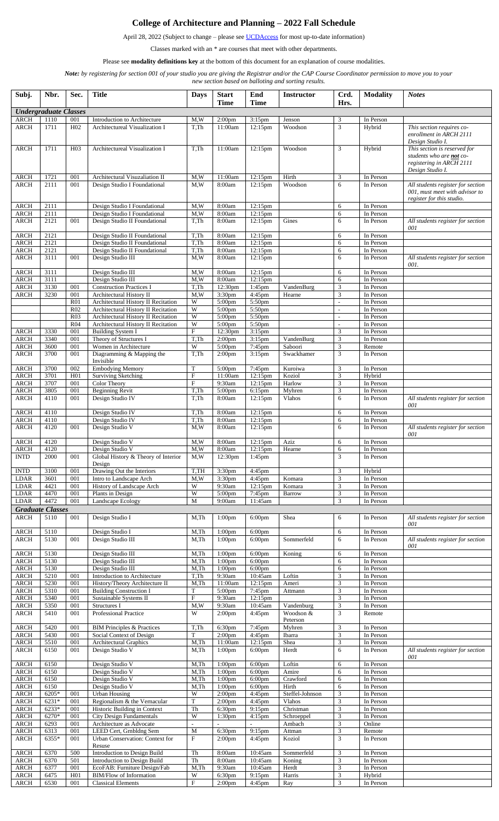## **College of Architecture and Planning – 2022 Fall Schedule**

April 28, 2022 (Subject to change – please se[e UCDAccess](https://www.ucdenver.edu/ucdaccess) for most up-to-date information)

Classes marked with an \* are courses that meet with other departments.

Please see **modality definitions key** at the bottom of this document for an explanation of course modalities.

*Note: by registering for section 001 of your studio you are giving the Registrar and/or the CAP Course Coordinator permission to move you to your* 

*new section based on balloting and sorting results.*

| Subj.                      | Nbr.                         | Sec.                   | <b>Title</b>                                                     | <b>Days</b>                    | <b>Start</b><br><b>Time</b>              | End<br>Time                              | <b>Instructor</b>                   | Crd.<br>Hrs.        | <b>Modality</b>        | <b>Notes</b>                                                                                                    |
|----------------------------|------------------------------|------------------------|------------------------------------------------------------------|--------------------------------|------------------------------------------|------------------------------------------|-------------------------------------|---------------------|------------------------|-----------------------------------------------------------------------------------------------------------------|
|                            | <b>Undergraduate Classes</b> |                        |                                                                  |                                |                                          |                                          |                                     |                     |                        |                                                                                                                 |
| <b>ARCH</b>                | 1110                         | 001                    | Introduction to Architecture                                     | M,W                            | 2:00 <sub>pm</sub>                       | $3:15$ pm                                | Jenson                              | 3                   | In Person              |                                                                                                                 |
| ARCH                       | 1711                         | H <sub>02</sub>        | Architectureal Visualization I                                   | T.Th                           | 11:00am                                  | $12:15$ pm                               | Woodson                             | 3                   | Hybrid                 | This section requires co-<br>enrollment in ARCH 2111<br>Design Studio I.                                        |
| <b>ARCH</b>                | 1711                         | H <sub>0</sub> 3       | Architectureal Visualization I                                   | T.Th                           | 11:00am                                  | 12:15pm                                  | Woodson                             | 3                   | Hybrid                 | This section is reserved for<br>students who are <b>not</b> co-<br>registering in ARCH 2111<br>Design Studio I. |
| <b>ARCH</b>                | 1721                         | 001                    | Architectural Visuzaliation II                                   | M,W                            | 11:00am                                  | 12:15pm                                  | Hirth                               | 3                   | In Person              |                                                                                                                 |
| <b>ARCH</b>                | 2111                         | 001                    | Design Studio I Foundational                                     | M,W                            | 8:00am                                   | 12:15pm                                  | Woodson                             | 6                   | In Person              | All students register for section<br>001, must meet with advisor to<br>register for this studio.                |
| ARCH                       | 2111                         |                        | Design Studio I Foundational                                     | M,W                            | 8:00am                                   | 12:15pm                                  |                                     | 6                   | In Person              |                                                                                                                 |
| ARCH<br><b>ARCH</b>        | 2111<br>2121                 | 001                    | Design Studio I Foundational                                     | M,W<br>T,Th                    | 8:00am<br>8:00am                         | 12:15pm                                  | Gines                               | 6<br>6              | In Person<br>In Person |                                                                                                                 |
|                            |                              |                        | Design Studio II Foundational                                    |                                |                                          | 12:15pm                                  |                                     |                     |                        | All students register for section<br>001                                                                        |
| <b>ARCH</b>                | 2121                         |                        | Design Studio II Foundational                                    | T,Th                           | 8:00am                                   | 12:15pm                                  |                                     | 6                   | In Person              |                                                                                                                 |
| ARCH                       | 2121                         |                        | Design Studio II Foundational                                    | T,Th                           | 8:00am                                   | 12:15pm                                  |                                     | 6                   | In Person              |                                                                                                                 |
| <b>ARCH</b><br><b>ARCH</b> | 2121<br>3111                 | 001                    | Design Studio II Foundational<br>Design Studio III               | T,Th<br>M,W                    | 8:00am<br>8:00am                         | 12:15pm<br>12:15pm                       |                                     | 6<br>6              | In Person<br>In Person | All students register for section                                                                               |
|                            |                              |                        |                                                                  |                                |                                          |                                          |                                     |                     |                        | 001.                                                                                                            |
| <b>ARCH</b>                | 3111                         |                        | Design Studio III                                                | M,W                            | 8:00am                                   | 12:15pm                                  |                                     | 6                   | In Person              |                                                                                                                 |
| <b>ARCH</b><br><b>ARCH</b> | 3111<br>3130                 | 001                    | Design Studio III                                                | M,W<br>T,Th                    | 8:00am<br>12:30pm                        | 12:15pm                                  |                                     | 6<br>3              | In Person<br>In Person |                                                                                                                 |
| <b>ARCH</b>                | 3230                         | 001                    | <b>Construction Practices I</b><br>Architectural History II      | M,W                            | 3:30pm                                   | 1:45pm<br>4:45pm                         | VandenBurg<br>Hearne                | 3                   | In Person              |                                                                                                                 |
|                            |                              | R <sub>01</sub>        | Architectural History II Recitation                              | W                              | 5:00 <sub>pm</sub>                       | 5:50pm                                   |                                     | $\overline{a}$      | In Person              |                                                                                                                 |
|                            |                              | R <sub>02</sub>        | Architectural History II Recitation                              | W                              | 5:00pm                                   | 5:50pm                                   |                                     | $\sim$              | In Person              |                                                                                                                 |
|                            |                              | R03                    | Architectural History II Recitation                              | W<br>$\overline{\text{W}}$     | 5:00pm                                   | 5:50pm                                   |                                     | $\sim$              | In Person              |                                                                                                                 |
| ARCH                       | 3330                         | R <sub>04</sub><br>001 | Architectural History II Recitation<br><b>Building System I</b>  | F                              | 5:00 <sub>pm</sub><br>12:30pm            | 5:50pm<br>$3:15$ pm                      |                                     | $\sim$<br>3         | In Person<br>In Person |                                                                                                                 |
| <b>ARCH</b>                | 3340                         | 001                    | Theory of Structures I                                           | T,Th                           | 2:00 <sub>pm</sub>                       | $3:15$ pm                                | VandenBurg                          | 3                   | In Person              |                                                                                                                 |
| ARCH                       | 3600                         | 001                    | Women in Architecture                                            | W                              | 5:00 <sub>pm</sub>                       | 7:45pm                                   | Saboori                             | 3                   | Remote                 |                                                                                                                 |
| <b>ARCH</b>                | 3700                         | 001                    | Diagramming & Mapping the<br>Invisible                           | T,Th                           | 2:00 <sub>pm</sub>                       | $3:15$ pm                                | Swackhamer                          | 3                   | In Person              |                                                                                                                 |
| <b>ARCH</b><br><b>ARCH</b> | 3700<br>3701                 | 002<br>H <sub>01</sub> | <b>Embodying Memory</b><br><b>Surviving Sketching</b>            | $\mathbf T$<br>$\mathbf F$     | 5:00pm<br>11:00am                        | 7:45pm<br>12:15pm                        | Kuroiwa<br>Koziol                   | 3<br>3              | In Person<br>Hybrid    |                                                                                                                 |
| <b>ARCH</b>                | 3707                         | 001                    | <b>Color Theory</b>                                              | $\mathbf{F}$                   | 9:30am                                   | $12:15$ pm                               | Harlow                              | 3                   | In Person              |                                                                                                                 |
| <b>ARCH</b>                | 3805                         | 001                    | <b>Beginning Revit</b>                                           | T,Th                           | 5:00 <sub>pm</sub>                       | 6:15pm                                   | Myhren                              | 3                   | In Person              |                                                                                                                 |
| <b>ARCH</b>                | 4110                         | 001                    | Design Studio IV                                                 | T.Th                           | 8:00am                                   | $12:15$ pm                               | <b>Vlahos</b>                       | 6                   | In Person              | All students register for section<br>001                                                                        |
| ARCH<br><b>ARCH</b>        | 4110<br>4110                 |                        | Design Studio IV<br>Design Studio IV                             | T,Th<br>T,Th                   | 8:00am<br>8:00am                         | 12:15pm<br>12:15pm                       |                                     | 6<br>6              | In Person<br>In Person |                                                                                                                 |
| <b>ARCH</b>                | 4120                         | 001                    | Design Studio V                                                  | M,W                            | 8:00am                                   | 12:15pm                                  |                                     | 6                   | In Person              | All students register for section<br>001                                                                        |
| ARCH                       | 4120                         |                        | Design Studio V                                                  | M,W                            | 8:00am                                   | 12:15pm                                  | Aziz                                | 6                   | In Person              |                                                                                                                 |
| <b>ARCH</b><br><b>INTD</b> | 4120<br>2000                 | 001                    | Design Studio V<br>Global History & Theory of Interior<br>Design | M,W<br>M,W                     | 8:00am<br>12:30pm                        | 12:15pm<br>$1:45$ pm                     | Hearne                              | 6<br>$\mathfrak{Z}$ | In Person<br>In Person |                                                                                                                 |
| <b>INTD</b>                | 3100                         | 001                    | Drawing Out the Interiors                                        | T,TH                           | 3:30 <sub>pm</sub>                       | 4:45pm                                   |                                     | 3                   | Hybrid                 |                                                                                                                 |
| <b>LDAR</b>                | 3601                         | 001                    | Intro to Landscape Arch                                          | M, W                           | 3:30 <sub>pm</sub>                       | 4:45pm                                   | Komara                              | 3                   | In Person              |                                                                                                                 |
| <b>LDAR</b>                | 4421                         | 001                    | History of Landscape Arch                                        | W                              | 9:30am                                   | $12:15$ pm                               | Komara                              | 3                   | In Person              |                                                                                                                 |
| <b>LDAR</b><br><b>LDAR</b> | 4470<br>4472                 | 001<br>001             | Plants in Design<br>Landscape Ecology                            | W<br>M                         | 5:00pm<br>9:00am                         | 7:45pm<br>11:45am                        | Barrow                              | 3<br>3              | In Person<br>In Person |                                                                                                                 |
|                            | <b>Graduate Classes</b>      |                        |                                                                  |                                |                                          |                                          |                                     |                     |                        |                                                                                                                 |
| ARCH                       | 5110                         | 001                    | Design Studio I                                                  | M,Th                           | 1:00 <sub>pm</sub>                       | 6:00 <sub>pm</sub>                       | Shea                                | 6                   | In Person              | All students register for section<br>001                                                                        |
| <b>ARCH</b><br><b>ARCH</b> | 5110<br>5130                 | 001                    | Design Studio I<br>Design Studio III                             | M,Th<br>$M$ , Th               | 1:00 <sub>pm</sub><br>1:00 <sub>pm</sub> | 6:00 <sub>pm</sub><br>6:00pm             | Sommerfeld                          | 6<br>6              | In Person<br>In Person | All students register for section<br>001                                                                        |
| <b>ARCH</b>                | 5130                         |                        | Design Studio III                                                | $M$ , Th                       | 1:00 <sub>pm</sub>                       | 6:00 <sub>pm</sub>                       | Koning                              | 6                   | In Person              |                                                                                                                 |
| <b>ARCH</b>                | 5130                         |                        | Design Studio III                                                | $M$ , Th                       | 1:00 <sub>pm</sub>                       | 6:00pm                                   |                                     | 6                   | In Person              |                                                                                                                 |
| <b>ARCH</b><br><b>ARCH</b> | 5130<br>5210                 | 001                    | Design Studio III<br>Introduction to Architecture                | $M$ , Th<br>T,Th               | 1:00 <sub>pm</sub><br>9:30am             | 6:00pm<br>10:45am                        | Loftin                              | 6<br>3              | In Person<br>In Person |                                                                                                                 |
| <b>ARCH</b>                | 5230                         | 001                    | History/Theory Architecture II                                   | $M$ , Th                       | 11:00am                                  | 12:15pm                                  | Ameri                               | 3                   | In Person              |                                                                                                                 |
| ARCH                       | 5310                         | 001                    | <b>Building Construction I</b>                                   | T                              | 5:00pm                                   | 7:45pm                                   | Attmann                             | 3                   | In Person              |                                                                                                                 |
| <b>ARCH</b>                | 5340                         | 001                    | Sustainable Systems II                                           | $\mathbf{F}$                   | 9:30am                                   | 12:15pm                                  |                                     | 3                   | In Person              |                                                                                                                 |
| <b>ARCH</b><br><b>ARCH</b> | 5350<br>5410                 | 001<br>001             | Structures I<br>Professional Practice                            | M, W<br>W                      | 9:30am<br>2:00 <sub>pm</sub>             | 10:45am<br>4:45pm                        | Vandenburg<br>Woodson &<br>Peterson | 3<br>3              | In Person<br>Remote    |                                                                                                                 |
| <b>ARCH</b>                | 5420                         | 001                    | <b>BIM Principles &amp; Practices</b>                            | T,Th                           | 6:30pm                                   | 7:45pm                                   | Myhren                              | 3                   | In Person              |                                                                                                                 |
| <b>ARCH</b>                | 5430                         | 001                    | Social Context of Design                                         | т                              | 2:00 <sub>pm</sub>                       | 4:45pm                                   | Ibarra                              | 3                   | In Person              |                                                                                                                 |
| <b>ARCH</b><br><b>ARCH</b> | 5510<br>6150                 | 001                    | Architectural Graphics<br>Design Studio V                        | $M$ , Th                       | 11:00am                                  | 12:15pm                                  | Shea                                | 3<br>6              | In Person              |                                                                                                                 |
| <b>ARCH</b>                | 6150                         | 001                    | Design Studio V                                                  | $M$ , Th<br>$M$ , Th           | 1:00 <sub>pm</sub><br>1:00 <sub>pm</sub> | 6:00 <sub>pm</sub><br>6:00 <sub>pm</sub> | Herdt<br>Loftin                     | 6                   | In Person<br>In Person | All students register for section<br>001                                                                        |
| <b>ARCH</b>                | 6150                         |                        | Design Studio V                                                  | $M$ , Th                       | 1:00 <sub>pm</sub>                       | 6:00 <sub>pm</sub>                       | Amire                               | 6                   | In Person              |                                                                                                                 |
| <b>ARCH</b>                | 6150                         |                        | Design Studio V                                                  | $M$ , Th                       | 1:00 <sub>pm</sub>                       | 6:00 <sub>pm</sub>                       | Crawford                            | 6                   | In Person              |                                                                                                                 |
| <b>ARCH</b>                | 6150                         |                        | Design Studio V                                                  | M,Th                           | 1:00 <sub>pm</sub>                       | 6:00pm                                   | Hirth                               | 6                   | In Person              |                                                                                                                 |
| <b>ARCH</b><br><b>ARCH</b> | 6205*<br>6231*               | 001<br>001             | <b>Urban Housing</b><br>Regionalism & the Vernacular             | W<br>T                         | 2:00 <sub>pm</sub><br>2:00 <sub>pm</sub> | 4:45pm<br>4:45pm                         | Steffel-Johnson<br>Vlahos           | 3<br>3              | In Person<br>In Person |                                                                                                                 |
| <b>ARCH</b>                | 6233*                        | 001                    | Historic Building in Context                                     | Th                             | 6:30pm                                   | 9:15pm                                   | Christman                           | 3                   | In Person              |                                                                                                                 |
| <b>ARCH</b>                | 6270*                        | 001                    | <b>City Design Fundamentals</b>                                  | W                              | 1:30 <sub>pm</sub>                       | $4:15$ pm                                | Schroeppel                          | 3                   | In Person              |                                                                                                                 |
| <b>ARCH</b>                | 6293                         | 001                    | Architecture as Advocate                                         |                                |                                          |                                          | Ambach                              | $\overline{3}$      | Online                 |                                                                                                                 |
| <b>ARCH</b><br><b>ARCH</b> | 6313<br>6355*                | 001<br>001             | LEED Cert, Grnbldng Sem<br>Urban Conservation: Context for       | M<br>$\boldsymbol{\mathrm{F}}$ | 6:30pm<br>2:00 <sub>pm</sub>             | 9:15pm<br>$4:45$ pm                      | Attman<br>Koziol                    | 3<br>3              | Remote<br>In Person    |                                                                                                                 |
| <b>ARCH</b>                | 6370                         | 500                    | Resuse<br><b>Introduction to Design Build</b>                    | Th                             | 8:00am                                   | 10:45am                                  | Sommerfeld                          | 3                   | In Person              |                                                                                                                 |
| <b>ARCH</b>                | 6370                         | 501                    | Introduction to Design Build                                     | Th                             | 8:00am                                   | 10:45am                                  | Koning                              | 3                   | In Person              |                                                                                                                 |
| <b>ARCH</b>                | 6377                         | 001                    | EcoFAB: Furniture Design/Fab                                     | $M$ , Th                       | 9:30am                                   | 10:45am                                  | Herdt                               | 3                   | In Person              |                                                                                                                 |
| <b>ARCH</b>                | 6475                         | H <sub>01</sub>        | <b>BIM/Flow of Information</b>                                   | W                              | 6:30pm                                   | 9:15pm                                   | Harris                              | $\overline{3}$      | Hybrid                 |                                                                                                                 |
| <b>ARCH</b>                | 6530                         | 001                    | <b>Classical Elements</b>                                        | $\boldsymbol{\mathrm{F}}$      | 2:00 <sub>pm</sub>                       | 4:45pm                                   | Ray                                 | 3                   | In Person              |                                                                                                                 |